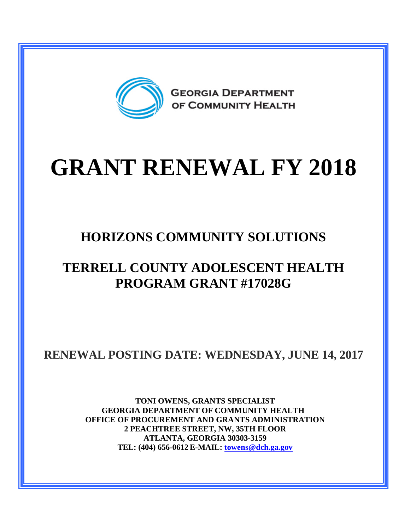

# **GRANT RENEWAL FY 2018**

# **HORIZONS COMMUNITY SOLUTIONS**

## **TERRELL COUNTY ADOLESCENT HEALTH PROGRAM GRANT #17028G**

**RENEWAL POSTING DATE: WEDNESDAY, JUNE 14, 2017**

**TONI OWENS, GRANTS SPECIALIST GEORGIA DEPARTMENT OF COMMUNITY HEALTH OFFICE OF PROCUREMENT AND GRANTS ADMINISTRATION 2 PEACHTREE STREET, NW, 35TH FLOOR ATLANTA, GEORGIA 30303-3159 TEL: (404) 656-0612 E-MAIL: [towens@dch.ga.gov](mailto:towens@dch.ga.gov)**